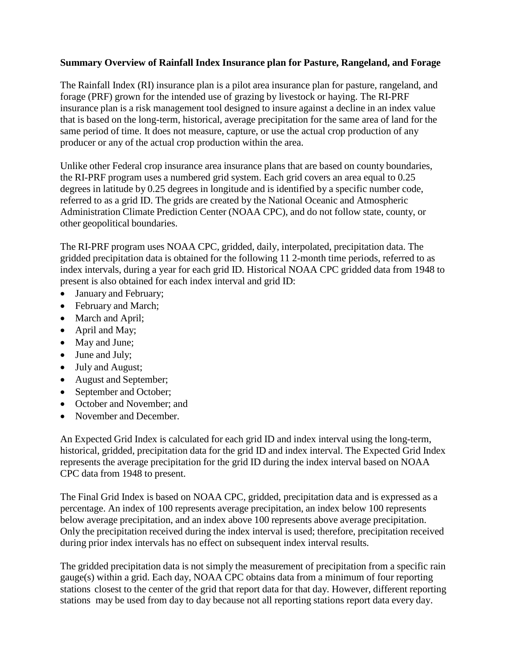## **Summary Overview of Rainfall Index Insurance plan for Pasture, Rangeland, and Forage**

The Rainfall Index (RI) insurance plan is a pilot area insurance plan for pasture, rangeland, and forage (PRF) grown for the intended use of grazing by livestock or haying. The RI-PRF insurance plan is a risk management tool designed to insure against a decline in an index value that is based on the long-term, historical, average precipitation for the same area of land for the same period of time. It does not measure, capture, or use the actual crop production of any producer or any of the actual crop production within the area.

Unlike other Federal crop insurance area insurance plans that are based on county boundaries, the RI-PRF program uses a numbered grid system. Each grid covers an area equal to 0.25 degrees in latitude by 0.25 degrees in longitude and is identified by a specific number code, referred to as a grid ID. The grids are created by the National Oceanic and Atmospheric Administration Climate Prediction Center (NOAA CPC), and do not follow state, county, or other geopolitical boundaries.

The RI-PRF program uses NOAA CPC, gridded, daily, interpolated, precipitation data. The gridded precipitation data is obtained for the following 11 2-month time periods, referred to as index intervals, during a year for each grid ID. Historical NOAA CPC gridded data from 1948 to present is also obtained for each index interval and grid ID:

- January and February;
- February and March;
- March and April;
- April and May;
- May and June;
- June and July;
- July and August;
- August and September;
- September and October;
- October and November; and
- November and December.

An Expected Grid Index is calculated for each grid ID and index interval using the long-term, historical, gridded, precipitation data for the grid ID and index interval. The Expected Grid Index represents the average precipitation for the grid ID during the index interval based on NOAA CPC data from 1948 to present.

The Final Grid Index is based on NOAA CPC, gridded, precipitation data and is expressed as a percentage. An index of 100 represents average precipitation, an index below 100 represents below average precipitation, and an index above 100 represents above average precipitation. Only the precipitation received during the index interval is used; therefore, precipitation received during prior index intervals has no effect on subsequent index interval results.

The gridded precipitation data is not simply the measurement of precipitation from a specific rain gauge(s) within a grid. Each day, NOAA CPC obtains data from a minimum of four reporting stations closest to the center of the grid that report data for that day. However, different reporting stations may be used from day to day because not all reporting stations report data every day.